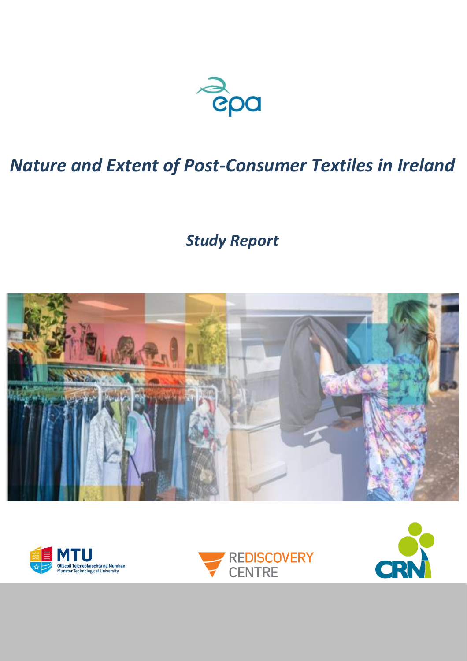

# *Nature and Extent of Post-Consumer Textiles in Ireland*

*Study Report*







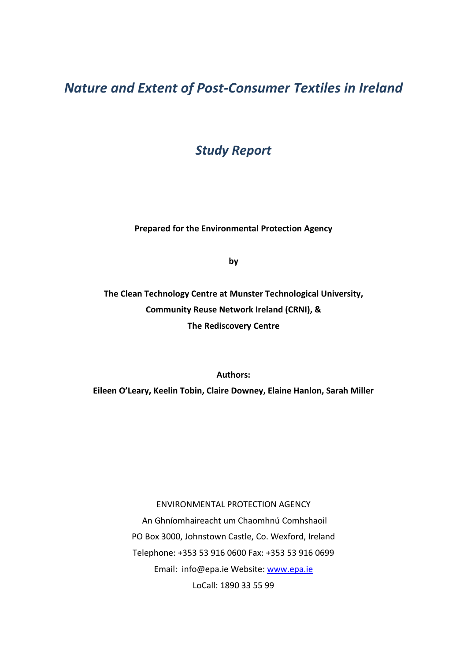*Nature and Extent of Post-Consumer Textiles in Ireland*

*Study Report*

**Prepared for the Environmental Protection Agency**

**by**

**The Clean Technology Centre at Munster Technological University, Community Reuse Network Ireland (CRNI), & The Rediscovery Centre**

**Authors:** 

**Eileen O'Leary, Keelin Tobin, Claire Downey, Elaine Hanlon, Sarah Miller**

ENVIRONMENTAL PROTECTION AGENCY An Ghníomhaireacht um Chaomhnú Comhshaoil PO Box 3000, Johnstown Castle, Co. Wexford, Ireland Telephone: +353 53 916 0600 Fax: +353 53 916 0699 Email: info@epa.ie Website: [www.epa.ie](http://www.epa.ie/) LoCall: 1890 33 55 99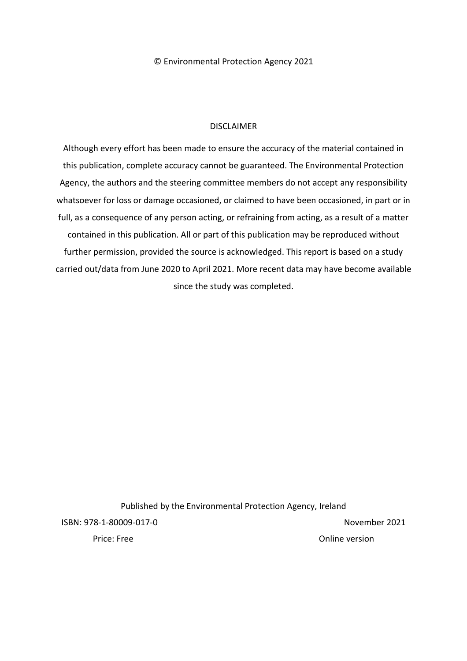© Environmental Protection Agency 2021

# DISCLAIMER

Although every effort has been made to ensure the accuracy of the material contained in this publication, complete accuracy cannot be guaranteed. The Environmental Protection Agency, the authors and the steering committee members do not accept any responsibility whatsoever for loss or damage occasioned, or claimed to have been occasioned, in part or in full, as a consequence of any person acting, or refraining from acting, as a result of a matter contained in this publication. All or part of this publication may be reproduced without further permission, provided the source is acknowledged. This report is based on a study carried out/data from June 2020 to April 2021. More recent data may have become available since the study was completed.

Published by the Environmental Protection Agency, Ireland ISBN: 978-1-80009-017-0 November 2021 Price: Free Online version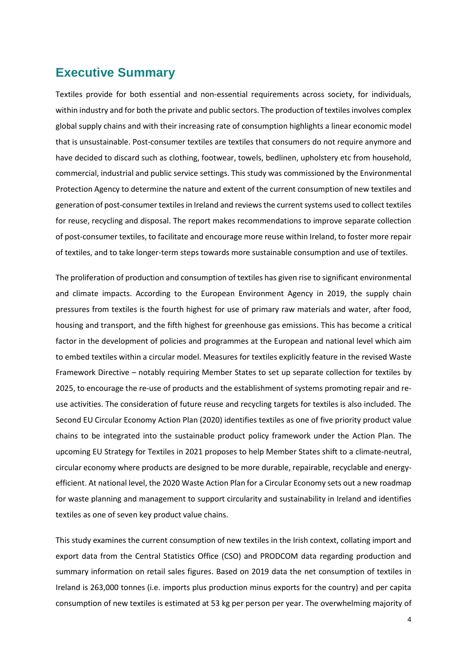# **Executive Summary**

Textiles provide for both essential and non-essential requirements across society, for individuals, within industry and for both the private and public sectors. The production of textiles involves complex global supply chains and with their increasing rate of consumption highlights a linear economic model that is unsustainable. Post-consumer textiles are textiles that consumers do not require anymore and have decided to discard such as clothing, footwear, towels, bedlinen, upholstery etc from household, commercial, industrial and public service settings. This study was commissioned by the Environmental Protection Agency to determine the nature and extent of the current consumption of new textiles and generation of post-consumer textiles in Ireland and reviews the current systems used to collect textiles for reuse, recycling and disposal. The report makes recommendations to improve separate collection of post-consumer textiles, to facilitate and encourage more reuse within Ireland, to foster more repair of textiles, and to take longer-term steps towards more sustainable consumption and use of textiles.

The proliferation of production and consumption of textiles has given rise to significant environmental and climate impacts. According to the European Environment Agency in 2019, the supply chain pressures from textiles is the fourth highest for use of primary raw materials and water, after food, housing and transport, and the fifth highest for greenhouse gas emissions. This has become a critical factor in the development of policies and programmes at the European and national level which aim to embed textiles within a circular model. Measures for textiles explicitly feature in the revised Waste Framework Directive – notably requiring Member States to set up separate collection for textiles by 2025, to encourage the re-use of products and the establishment of systems promoting repair and reuse activities. The consideration of future reuse and recycling targets for textiles is also included. The Second EU Circular Economy Action Plan (2020) identifies textiles as one of five priority product value chains to be integrated into the sustainable product policy framework under the Action Plan. The upcoming EU Strategy for Textiles in 2021 proposes to help Member States shift to a climate-neutral, circular economy where products are designed to be more durable, repairable, recyclable and energyefficient. At national level, the 2020 Waste Action Plan for a Circular Economy sets out a new roadmap for waste planning and management to support circularity and sustainability in Ireland and identifies textiles as one of seven key product value chains.

This study examines the current consumption of new textiles in the Irish context, collating import and export data from the Central Statistics Office (CSO) and PRODCOM data regarding production and summary information on retail sales figures. Based on 2019 data the net consumption of textiles in Ireland is 263,000 tonnes (i.e. imports plus production minus exports for the country) and per capita consumption of new textiles is estimated at 53 kg per person per year. The overwhelming majority of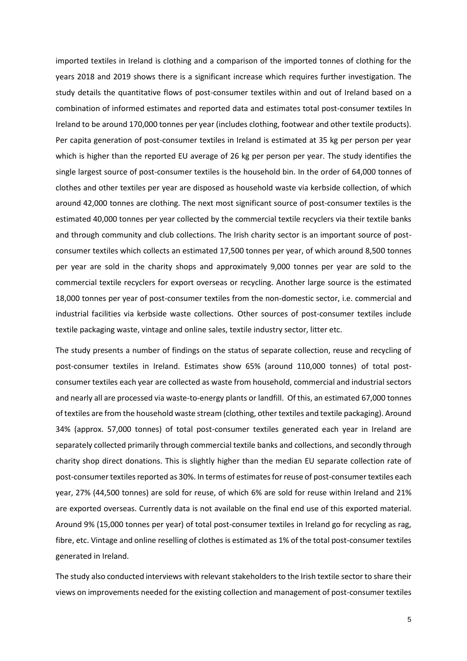imported textiles in Ireland is clothing and a comparison of the imported tonnes of clothing for the years 2018 and 2019 shows there is a significant increase which requires further investigation. The study details the quantitative flows of post-consumer textiles within and out of Ireland based on a combination of informed estimates and reported data and estimates total post-consumer textiles In Ireland to be around 170,000 tonnes per year (includes clothing, footwear and other textile products). Per capita generation of post-consumer textiles in Ireland is estimated at 35 kg per person per year which is higher than the reported EU average of 26 kg per person per year. The study identifies the single largest source of post-consumer textiles is the household bin. In the order of 64,000 tonnes of clothes and other textiles per year are disposed as household waste via kerbside collection, of which around 42,000 tonnes are clothing. The next most significant source of post-consumer textiles is the estimated 40,000 tonnes per year collected by the commercial textile recyclers via their textile banks and through community and club collections. The Irish charity sector is an important source of postconsumer textiles which collects an estimated 17,500 tonnes per year, of which around 8,500 tonnes per year are sold in the charity shops and approximately 9,000 tonnes per year are sold to the commercial textile recyclers for export overseas or recycling. Another large source is the estimated 18,000 tonnes per year of post-consumer textiles from the non-domestic sector, i.e. commercial and industrial facilities via kerbside waste collections. Other sources of post-consumer textiles include textile packaging waste, vintage and online sales, textile industry sector, litter etc.

The study presents a number of findings on the status of separate collection, reuse and recycling of post-consumer textiles in Ireland. Estimates show 65% (around 110,000 tonnes) of total postconsumer textiles each year are collected as waste from household, commercial and industrial sectors and nearly all are processed via waste-to-energy plants or landfill. Of this, an estimated 67,000 tonnes of textiles are from the household waste stream (clothing, other textiles and textile packaging). Around 34% (approx. 57,000 tonnes) of total post-consumer textiles generated each year in Ireland are separately collected primarily through commercial textile banks and collections, and secondly through charity shop direct donations. This is slightly higher than the median EU separate collection rate of post-consumer textiles reported as 30%. In terms of estimates for reuse of post-consumer textiles each year, 27% (44,500 tonnes) are sold for reuse, of which 6% are sold for reuse within Ireland and 21% are exported overseas. Currently data is not available on the final end use of this exported material. Around 9% (15,000 tonnes per year) of total post-consumer textiles in Ireland go for recycling as rag, fibre, etc. Vintage and online reselling of clothes is estimated as 1% of the total post-consumer textiles generated in Ireland.

The study also conducted interviews with relevant stakeholders to the Irish textile sector to share their views on improvements needed for the existing collection and management of post-consumer textiles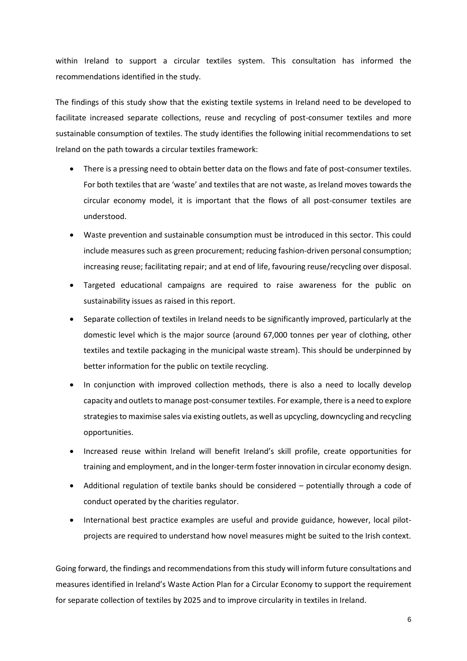within Ireland to support a circular textiles system. This consultation has informed the recommendations identified in the study.

The findings of this study show that the existing textile systems in Ireland need to be developed to facilitate increased separate collections, reuse and recycling of post-consumer textiles and more sustainable consumption of textiles. The study identifies the following initial recommendations to set Ireland on the path towards a circular textiles framework:

- There is a pressing need to obtain better data on the flows and fate of post-consumer textiles. For both textiles that are 'waste' and textiles that are not waste, as Ireland moves towards the circular economy model, it is important that the flows of all post-consumer textiles are understood.
- Waste prevention and sustainable consumption must be introduced in this sector. This could include measures such as green procurement; reducing fashion-driven personal consumption; increasing reuse; facilitating repair; and at end of life, favouring reuse/recycling over disposal.
- Targeted educational campaigns are required to raise awareness for the public on sustainability issues as raised in this report.
- Separate collection of textiles in Ireland needs to be significantly improved, particularly at the domestic level which is the major source (around 67,000 tonnes per year of clothing, other textiles and textile packaging in the municipal waste stream). This should be underpinned by better information for the public on textile recycling.
- In conjunction with improved collection methods, there is also a need to locally develop capacity and outlets to manage post-consumer textiles. For example, there is a need to explore strategies to maximise sales via existing outlets, as well as upcycling, downcycling and recycling opportunities.
- Increased reuse within Ireland will benefit Ireland's skill profile, create opportunities for training and employment, and in the longer-term foster innovation in circular economy design.
- Additional regulation of textile banks should be considered potentially through a code of conduct operated by the charities regulator.
- International best practice examples are useful and provide guidance, however, local pilotprojects are required to understand how novel measures might be suited to the Irish context.

Going forward, the findings and recommendations from this study will inform future consultations and measures identified in Ireland's Waste Action Plan for a Circular Economy to support the requirement for separate collection of textiles by 2025 and to improve circularity in textiles in Ireland.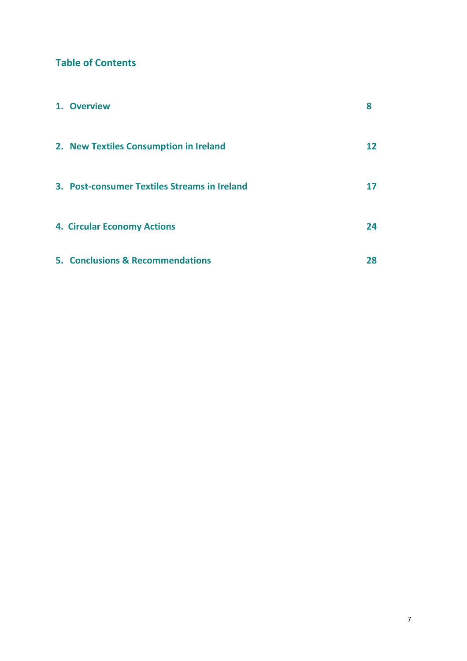# **Table of Contents**

| 1. Overview                                  | 8  |
|----------------------------------------------|----|
| 2. New Textiles Consumption in Ireland       | 12 |
| 3. Post-consumer Textiles Streams in Ireland |    |
| <b>4. Circular Economy Actions</b>           | 24 |
| 5. Conclusions & Recommendations             | 28 |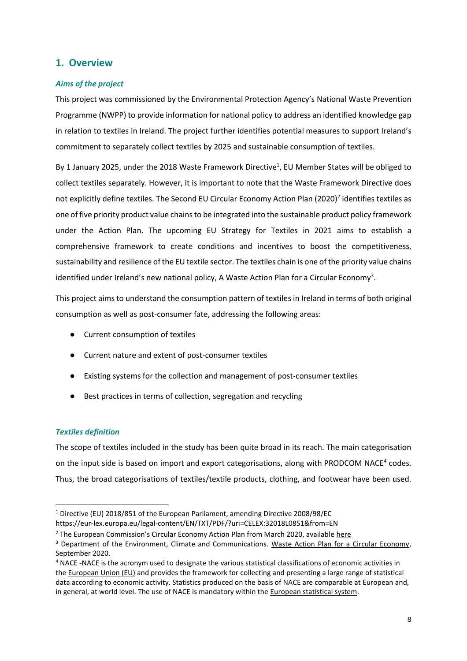# **1. Overview**

## *Aims of the project*

This project was commissioned by the Environmental Protection Agency's National Waste Prevention Programme (NWPP) to provide information for national policy to address an identified knowledge gap in relation to textiles in Ireland. The project further identifies potential measures to support Ireland's commitment to separately collect textiles by 2025 and sustainable consumption of textiles.

By 1 January 2025, under the 2018 Waste Framework Directive<sup>1</sup>, EU Member States will be obliged to collect textiles separately. However, it is important to note that the Waste Framework Directive does not explicitly define textiles. The Second EU Circular Economy Action Plan (2020)<sup>2</sup> identifies textiles as one of five priority product value chains to be integrated into the sustainable product policy framework under the Action Plan. The upcoming EU Strategy for Textiles in 2021 aims to establish a comprehensive framework to create conditions and incentives to boost the competitiveness, sustainability and resilience of the EU textile sector. The textiles chain is one of the priority value chains identified under Ireland's new national policy, A Waste Action Plan for a Circular Economy<sup>3</sup>.

This project aims to understand the consumption pattern of textiles in Ireland in terms of both original consumption as well as post-consumer fate, addressing the following areas:

- Current consumption of textiles
- Current nature and extent of post-consumer textiles
- Existing systems for the collection and management of post-consumer textiles
- Best practices in terms of collection, segregation and recycling

## *Textiles definition*

 $\overline{a}$ 

The scope of textiles included in the study has been quite broad in its reach. The main categorisation on the input side is based on import and export categorisations, along with PRODCOM NACE<sup>4</sup> codes. Thus, the broad categorisations of textiles/textile products, clothing, and footwear have been used.

<sup>1</sup> Directive (EU) 2018/851 of the European Parliament, amending Directive 2008/98/EC

https://eur-lex.europa.eu/legal-content/EN/TXT/PDF/?uri=CELEX:32018L0851&from=EN

<sup>&</sup>lt;sup>2</sup> The European Commission's Circular Economy Action Plan from March 2020, available [here](https://ec.europa.eu/environment/circular-economy/pdf/new_circular_economy_action_plan.pdf)

<sup>&</sup>lt;sup>3</sup> Department of the Environment, Climate and Communications. [Waste Action Plan for a Circular Economy,](https://www.gov.ie/en/publication/4221c-waste-action-plan-for-a-circular-economy/) September 2020.

<sup>4</sup> NACE -NACE is the acronym used to designate the various statistical classifications of economic activities in the [European Union \(EU\)](https://ec.europa.eu/eurostat/statistics-explained/index.php?title=Glossary:European_Union_(EU)) and provides the framework for collecting and presenting a large range of statistical data according to economic activity. Statistics produced on the basis of NACE are comparable at European and, in general, at world level. The use of NACE is mandatory within the [European statistical system.](https://ec.europa.eu/eurostat/statistics-explained/index.php?title=Glossary:European_statistical_system_(ESS))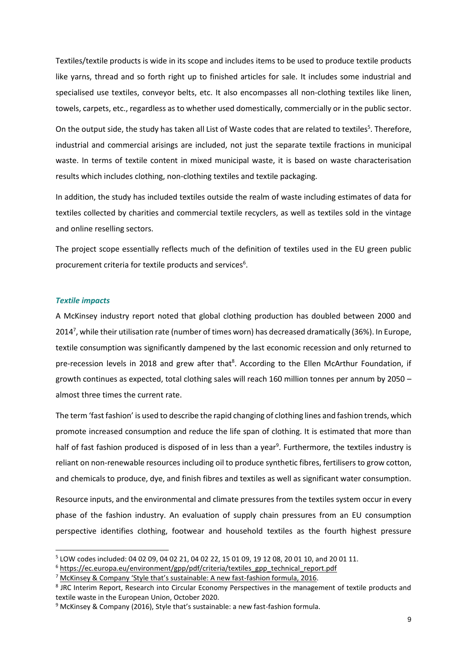Textiles/textile products is wide in its scope and includes items to be used to produce textile products like yarns, thread and so forth right up to finished articles for sale. It includes some industrial and specialised use textiles, conveyor belts, etc. It also encompasses all non-clothing textiles like linen, towels, carpets, etc., regardless as to whether used domestically, commercially or in the public sector.

On the output side, the study has taken all List of Waste codes that are related to textiles<sup>5</sup>. Therefore, industrial and commercial arisings are included, not just the separate textile fractions in municipal waste. In terms of textile content in mixed municipal waste, it is based on waste characterisation results which includes clothing, non-clothing textiles and textile packaging.

In addition, the study has included textiles outside the realm of waste including estimates of data for textiles collected by charities and commercial textile recyclers, as well as textiles sold in the vintage and online reselling sectors.

The project scope essentially reflects much of the definition of textiles used in the EU green public procurement criteria for textile products and services $6$ .

#### *Textile impacts*

A McKinsey industry report noted that global clothing production has doubled between 2000 and 2014<sup>7</sup>, while their utilisation rate (number of times worn) has decreased dramatically (36%). In Europe, textile consumption was significantly dampened by the last economic recession and only returned to pre-recession levels in 2018 and grew after that<sup>8</sup>. According to the Ellen McArthur Foundation, if growth continues as expected, total clothing sales will reach 160 million tonnes per annum by 2050 – almost three times the current rate.

The term 'fast fashion' is used to describe the rapid changing of clothing lines and fashion trends, which promote increased consumption and reduce the life span of clothing. It is estimated that more than half of fast fashion produced is disposed of in less than a year<sup>9</sup>. Furthermore, the textiles industry is reliant on non-renewable resources including oil to produce synthetic fibres, fertilisers to grow cotton, and chemicals to produce, dye, and finish fibres and textiles as well as significant water consumption.

Resource inputs, and the environmental and climate pressures from the textiles system occur in every phase of the fashion industry. An evaluation of supply chain pressures from an EU consumption perspective identifies clothing, footwear and household textiles as the fourth highest pressure

<sup>5</sup> LOW codes included: 04 02 09, 04 02 21, 04 02 22, 15 01 09, 19 12 08, 20 01 10, and 20 01 11.

<sup>&</sup>lt;sup>6</sup> [https://ec.europa.eu/environment/gpp/pdf/criteria/textiles\\_gpp\\_technical\\_report.pdf](https://ec.europa.eu/environment/gpp/pdf/criteria/textiles_gpp_technical_report.pdf)

<sup>7</sup> [McKinsey & Company 'Style that's sustainable: A new fast](https://www.mckinsey.com/business-functions/sustainability/our-insights/style-thats-sustainable-a-new-fast-fashion-formula)-fashion formula, 2016.

<sup>&</sup>lt;sup>8</sup> JRC Interim Report, Research into Circular Economy Perspectives in the management of textile products and textile waste in the European Union, October 2020.

 $9$  McKinsey & Company (2016), Style that's sustainable: a new fast-fashion formula.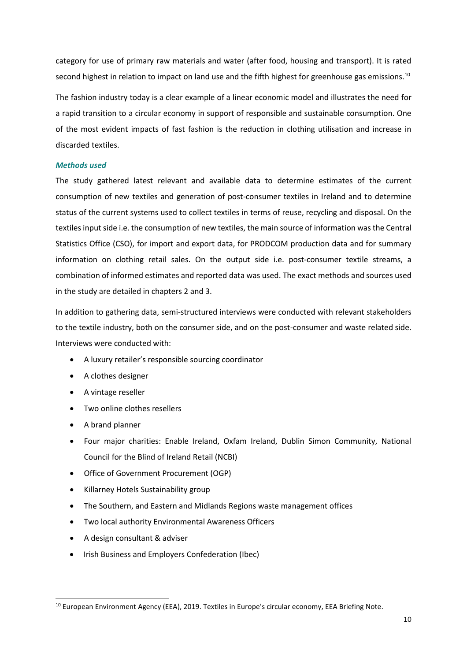category for use of primary raw materials and water (after food, housing and transport). It is rated second highest in relation to impact on land use and the fifth highest for greenhouse gas emissions.<sup>10</sup>

The fashion industry today is a clear example of a linear economic model and illustrates the need for a rapid transition to a circular economy in support of responsible and sustainable consumption. One of the most evident impacts of fast fashion is the reduction in clothing utilisation and increase in discarded textiles.

#### *Methods used*

The study gathered latest relevant and available data to determine estimates of the current consumption of new textiles and generation of post-consumer textiles in Ireland and to determine status of the current systems used to collect textiles in terms of reuse, recycling and disposal. On the textiles input side i.e. the consumption of new textiles, the main source of information was the Central Statistics Office (CSO), for import and export data, for PRODCOM production data and for summary information on clothing retail sales. On the output side i.e. post-consumer textile streams, a combination of informed estimates and reported data was used. The exact methods and sources used in the study are detailed in chapters 2 and 3.

In addition to gathering data, semi-structured interviews were conducted with relevant stakeholders to the textile industry, both on the consumer side, and on the post-consumer and waste related side. Interviews were conducted with:

- A luxury retailer's responsible sourcing coordinator
- A clothes designer
- A vintage reseller
- Two online clothes resellers
- A brand planner

- Four major charities: Enable Ireland, Oxfam Ireland, Dublin Simon Community, National Council for the Blind of Ireland Retail (NCBI)
- Office of Government Procurement (OGP)
- Killarney Hotels Sustainability group
- The Southern, and Eastern and Midlands Regions waste management offices
- Two local authority Environmental Awareness Officers
- A design consultant & adviser
- Irish Business and Employers Confederation (Ibec)

<sup>&</sup>lt;sup>10</sup> European Environment Agency (EEA), 2019. Textiles in Europe's circular economy, EEA Briefing Note.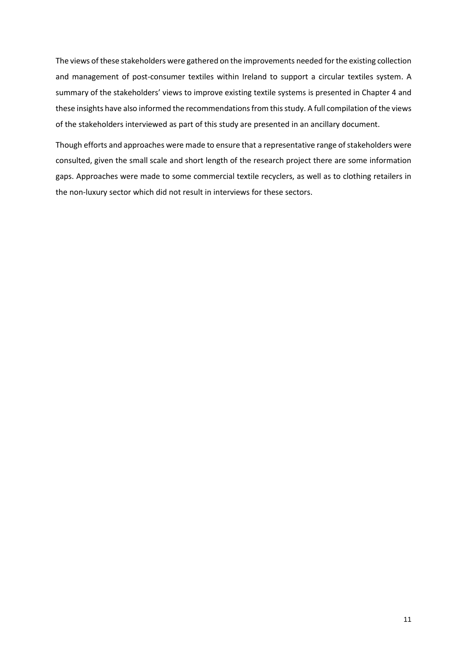The views of these stakeholders were gathered on the improvements needed for the existing collection and management of post-consumer textiles within Ireland to support a circular textiles system. A summary of the stakeholders' views to improve existing textile systems is presented in Chapter 4 and these insights have also informed the recommendations from this study. A full compilation of the views of the stakeholders interviewed as part of this study are presented in an ancillary document.

Though efforts and approaches were made to ensure that a representative range of stakeholders were consulted, given the small scale and short length of the research project there are some information gaps. Approaches were made to some commercial textile recyclers, as well as to clothing retailers in the non-luxury sector which did not result in interviews for these sectors.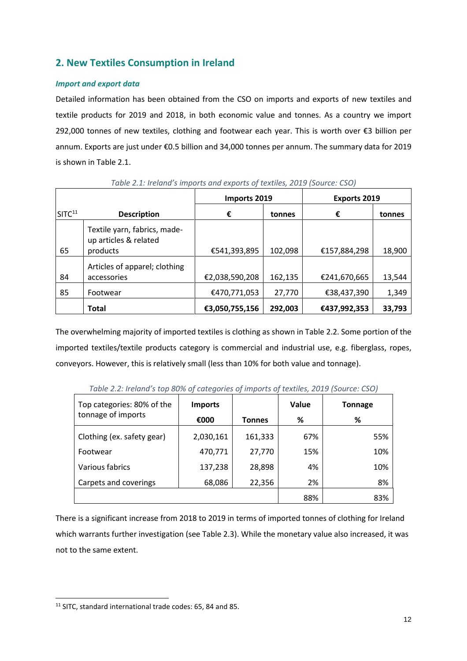# **2. New Textiles Consumption in Ireland**

# *Import and export data*

Detailed information has been obtained from the CSO on imports and exports of new textiles and textile products for 2019 and 2018, in both economic value and tonnes. As a country we import 292,000 tonnes of new textiles, clothing and footwear each year. This is worth over €3 billion per annum. Exports are just under €0.5 billion and 34,000 tonnes per annum. The summary data for 2019 is shown in Table 2.1.

|                    |                                                                   | Imports 2019   |         | <b>Exports 2019</b> |        |
|--------------------|-------------------------------------------------------------------|----------------|---------|---------------------|--------|
| SITC <sup>11</sup> | <b>Description</b>                                                | €              | tonnes  | €                   | tonnes |
| 65                 | Textile yarn, fabrics, made-<br>up articles & related<br>products | €541,393,895   | 102,098 | €157,884,298        | 18,900 |
|                    |                                                                   |                |         |                     |        |
|                    | Articles of apparel; clothing                                     |                |         |                     |        |
| 84                 | accessories                                                       | €2,038,590,208 | 162,135 | €241,670,665        | 13,544 |
| 85                 | Footwear                                                          | €470,771,053   | 27,770  | €38,437,390         | 1,349  |
|                    | <b>Total</b>                                                      | €3,050,755,156 | 292,003 | €437,992,353        | 33,793 |

*Table 2.1: Ireland's imports and exports of textiles, 2019 (Source: CSO)*

The overwhelming majority of imported textiles is clothing as shown in Table 2.2. Some portion of the imported textiles/textile products category is commercial and industrial use, e.g. fiberglass, ropes, conveyors. However, this is relatively small (less than 10% for both value and tonnage).

| Top categories: 80% of the | <b>Imports</b> |               | Value | <b>Tonnage</b> |
|----------------------------|----------------|---------------|-------|----------------|
| tonnage of imports         | €000           | <b>Tonnes</b> | %     | %              |
| Clothing (ex. safety gear) | 2,030,161      | 161,333       | 67%   | 55%            |
| Footwear                   | 470,771        | 27,770        | 15%   | 10%            |
| Various fabrics            | 137,238        | 28,898        | 4%    | 10%            |
| Carpets and coverings      | 68,086         | 22,356        | 2%    | 8%             |
|                            |                |               | 88%   | 83%            |

*Table 2.2: Ireland's top 80% of categories of imports of textiles, 2019 (Source: CSO)*

There is a significant increase from 2018 to 2019 in terms of imported tonnes of clothing for Ireland which warrants further investigation (see Table 2.3). While the monetary value also increased, it was not to the same extent.

<sup>&</sup>lt;sup>11</sup> SITC, standard international trade codes: 65, 84 and 85.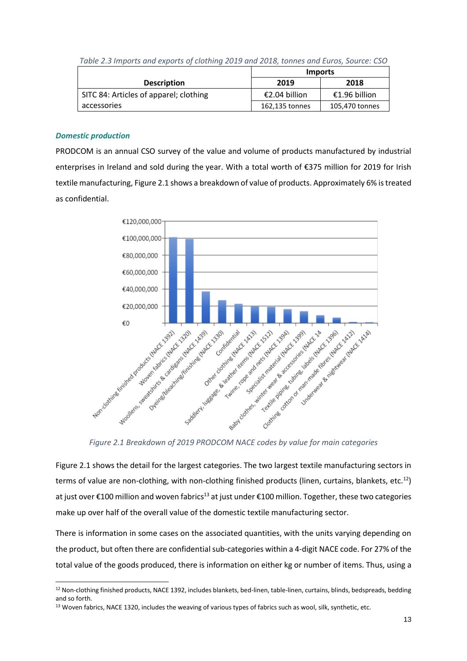|                                        | <b>Imports</b> |                |  |
|----------------------------------------|----------------|----------------|--|
| <b>Description</b>                     | 2019           | 2018           |  |
| SITC 84: Articles of apparel; clothing | €2.04 billion  | €1.96 billion  |  |
| accessories                            | 162,135 tonnes | 105,470 tonnes |  |

*Table 2.3 Imports and exports of clothing 2019 and 2018, tonnes and Euros, Source: CSO*

# *Domestic production*

PRODCOM is an annual CSO survey of the value and volume of products manufactured by industrial enterprises in Ireland and sold during the year. With a total worth of €375 million for 2019 for Irish textile manufacturing, Figure 2.1 shows a breakdown of value of products. Approximately 6% is treated as confidential.



Figure 2.1 shows the detail for the largest categories. The two largest textile manufacturing sectors in terms of value are non-clothing, with non-clothing finished products (linen, curtains, blankets, etc. $^{12}$ ) at just over €100 million and woven fabrics<sup>13</sup> at just under €100 million. Together, these two categories make up over half of the overall value of the domestic textile manufacturing sector.

There is information in some cases on the associated quantities, with the units varying depending on the product, but often there are confidential sub-categories within a 4-digit NACE code. For 27% of the total value of the goods produced, there is information on either kg or number of items. Thus, using a

 $\overline{a}$ <sup>12</sup> Non-clothing finished products, NACE 1392, includes blankets, bed-linen, table-linen, curtains, blinds, bedspreads, bedding and so forth.

<sup>13</sup> Woven fabrics, NACE 1320, includes the weaving of various types of fabrics such as wool, silk, synthetic, etc.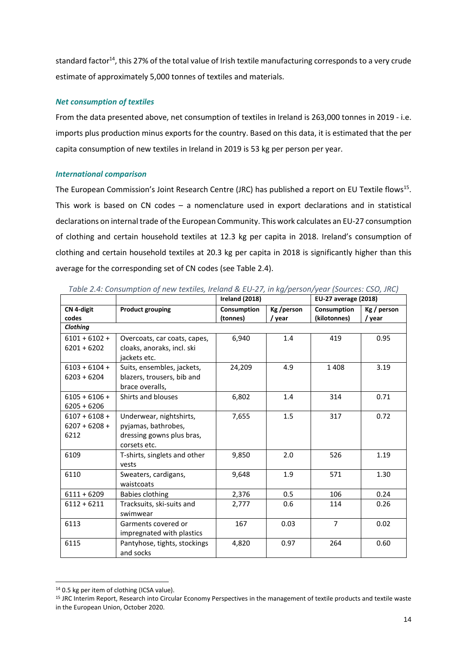standard factor<sup>14</sup>, this 27% of the total value of Irish textile manufacturing corresponds to a very crude estimate of approximately 5,000 tonnes of textiles and materials.

## *Net consumption of textiles*

From the data presented above, net consumption of textiles in Ireland is 263,000 tonnes in 2019 - i.e. imports plus production minus exports for the country. Based on this data, it is estimated that the per capita consumption of new textiles in Ireland in 2019 is 53 kg per person per year.

# *International comparison*

The European Commission's Joint Research Centre (JRC) has published a report on EU Textile flows<sup>15</sup>. This work is based on CN codes – a nomenclature used in export declarations and in statistical declarations on internal trade of the European Community. This work calculates an EU-27 consumption of clothing and certain household textiles at 12.3 kg per capita in 2018. Ireland's consumption of clothing and certain household textiles at 20.3 kg per capita in 2018 is significantly higher than this average for the corresponding set of CN codes (see Table 2.4).

|                                            |                                                                                             | Ireland (2018)          |                      | <b>EU-27 average (2018)</b> |                       |
|--------------------------------------------|---------------------------------------------------------------------------------------------|-------------------------|----------------------|-----------------------------|-----------------------|
| CN 4-digit<br>codes                        | <b>Product grouping</b>                                                                     | Consumption<br>(tonnes) | Kg /person<br>/ year | Consumption<br>(kilotonnes) | Kg / person<br>/ year |
| <b>Clothing</b>                            |                                                                                             |                         |                      |                             |                       |
| $6101 + 6102 +$<br>$6201 + 6202$           | Overcoats, car coats, capes,<br>cloaks, anoraks, incl. ski<br>jackets etc.                  | 6,940                   | 1.4                  | 419                         | 0.95                  |
| $6103 + 6104 +$<br>$6203 + 6204$           | Suits, ensembles, jackets,<br>blazers, trousers, bib and<br>brace overalls,                 | 24,209                  | 4.9                  | 1 4 0 8                     | 3.19                  |
| $6105 + 6106 +$<br>$6205 + 6206$           | Shirts and blouses                                                                          | 6,802                   | 1.4                  | 314                         | 0.71                  |
| $6107 + 6108 +$<br>$6207 + 6208 +$<br>6212 | Underwear, nightshirts,<br>pyjamas, bathrobes,<br>dressing gowns plus bras,<br>corsets etc. | 7,655                   | 1.5                  | 317                         | 0.72                  |
| 6109                                       | T-shirts, singlets and other<br>vests                                                       | 9,850                   | 2.0                  | 526                         | 1.19                  |
| 6110                                       | Sweaters, cardigans,<br>waistcoats                                                          | 9,648                   | 1.9                  | 571                         | 1.30                  |
| $6111 + 6209$                              | Babies clothing                                                                             | 2,376                   | 0.5                  | 106                         | 0.24                  |
| $6112 + 6211$                              | Tracksuits, ski-suits and<br>swimwear                                                       | 2,777                   | 0.6                  | 114                         | 0.26                  |
| 6113                                       | Garments covered or<br>impregnated with plastics                                            | 167                     | 0.03                 | $\overline{7}$              | 0.02                  |
| 6115                                       | Pantyhose, tights, stockings<br>and socks                                                   | 4,820                   | 0.97                 | 264                         | 0.60                  |

*Table 2.4: Consumption of new textiles, Ireland & EU-27, in kg/person/year (Sources: CSO, JRC)*

 $\overline{a}$ 

<sup>&</sup>lt;sup>14</sup> 0.5 kg per item of clothing (ICSA value).

<sup>15</sup> JRC Interim Report, Research into Circular Economy Perspectives in the management of textile products and textile waste in the European Union, October 2020.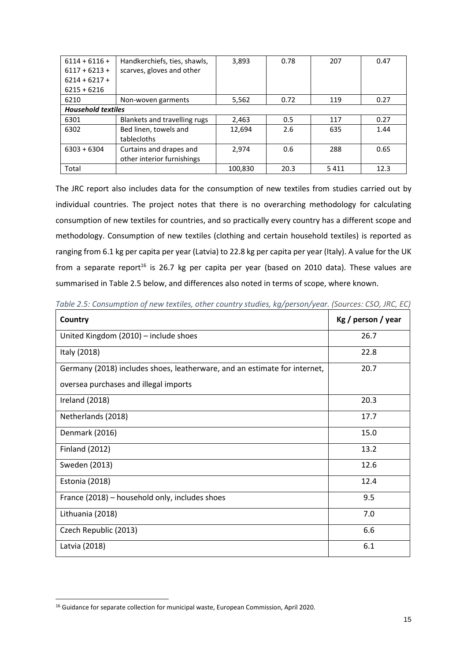| $6114 + 6116 +$           | Handkerchiefs, ties, shawls, | 3,893   | 0.78 | 207  | 0.47 |
|---------------------------|------------------------------|---------|------|------|------|
| $6117 + 6213 +$           | scarves, gloves and other    |         |      |      |      |
| $6214 + 6217 +$           |                              |         |      |      |      |
| $6215 + 6216$             |                              |         |      |      |      |
| 6210                      | Non-woven garments           | 5,562   | 0.72 | 119  | 0.27 |
| <b>Household textiles</b> |                              |         |      |      |      |
| 6301                      | Blankets and travelling rugs | 2,463   | 0.5  | 117  | 0.27 |
| 6302                      | Bed linen, towels and        | 12,694  | 2.6  | 635  | 1.44 |
|                           | tablecloths                  |         |      |      |      |
| $6303 + 6304$             | Curtains and drapes and      | 2.974   | 0.6  | 288  | 0.65 |
|                           | other interior furnishings   |         |      |      |      |
| Total                     |                              | 100.830 | 20.3 | 5411 | 12.3 |

The JRC report also includes data for the consumption of new textiles from studies carried out by individual countries. The project notes that there is no overarching methodology for calculating consumption of new textiles for countries, and so practically every country has a different scope and methodology. Consumption of new textiles (clothing and certain household textiles) is reported as ranging from 6.1 kg per capita per year (Latvia) to 22.8 kg per capita per year (Italy). A value for the UK from a separate report<sup>16</sup> is 26.7 kg per capita per year (based on 2010 data). These values are summarised in Table 2.5 below, and differences also noted in terms of scope, where known.

| Country                                                                   | Kg / person / year |
|---------------------------------------------------------------------------|--------------------|
| United Kingdom (2010) - include shoes                                     | 26.7               |
| Italy (2018)                                                              | 22.8               |
| Germany (2018) includes shoes, leatherware, and an estimate for internet, | 20.7               |
| oversea purchases and illegal imports                                     |                    |
| Ireland (2018)                                                            | 20.3               |
| Netherlands (2018)                                                        | 17.7               |
| Denmark (2016)                                                            | 15.0               |
| <b>Finland (2012)</b>                                                     | 13.2               |
| Sweden (2013)                                                             | 12.6               |
| Estonia (2018)                                                            | 12.4               |
| France (2018) – household only, includes shoes                            | 9.5                |
| Lithuania (2018)                                                          | 7.0                |
| Czech Republic (2013)                                                     | 6.6                |
| Latvia (2018)                                                             | 6.1                |

*Table 2.5: Consumption of new textiles, other country studies, kg/person/year. (Sources: CSO, JRC, EC)*

<sup>16</sup> Guidance for separate collection for municipal waste, European Commission, April 2020.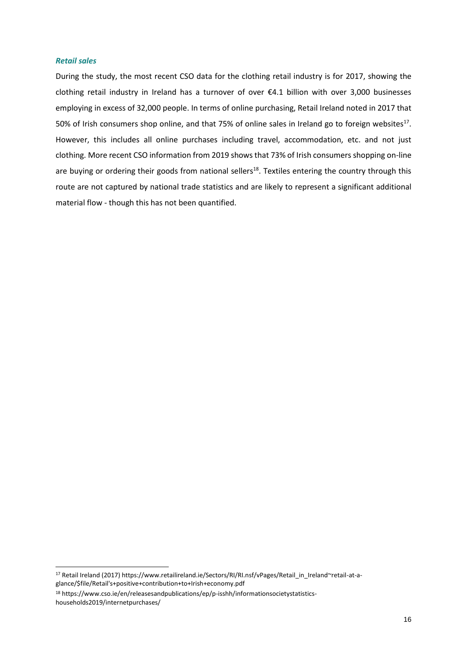#### *Retail sales*

During the study, the most recent CSO data for the clothing retail industry is for 2017, showing the clothing retail industry in Ireland has a turnover of over €4.1 billion with over 3,000 businesses employing in excess of 32,000 people. In terms of online purchasing, Retail Ireland noted in 2017 that 50% of Irish consumers shop online, and that 75% of online sales in Ireland go to foreign websites<sup>17</sup>. However, this includes all online purchases including travel, accommodation, etc. and not just clothing. More recent CSO information from 2019 shows that 73% of Irish consumers shopping on-line are buying or ordering their goods from national sellers<sup>18</sup>. Textiles entering the country through this route are not captured by national trade statistics and are likely to represent a significant additional material flow - though this has not been quantified.

<sup>17</sup> Retail Ireland (2017) https://www.retailireland.ie/Sectors/RI/RI.nsf/vPages/Retail in Ireland~retail-at-a[glance/\\$file/Retail's+positive+contribution+to+Irish+economy.pdf](https://www.retailireland.ie/Sectors/RI/RI.nsf/vPages/Retail_in_Ireland~retail-at-a-glance/$file/Retail)

<sup>18</sup> https://www.cso.ie/en/releasesandpublications/ep/p-isshh/informationsocietystatisticshouseholds2019/internetpurchases/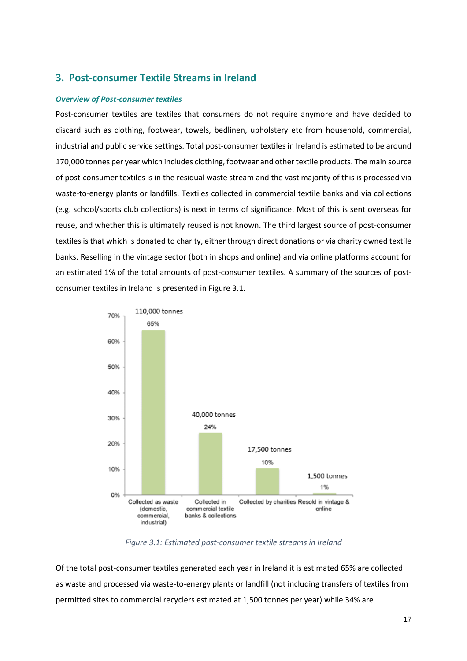# **3. Post-consumer Textile Streams in Ireland**

#### *Overview of Post-consumer textiles*

Post-consumer textiles are textiles that consumers do not require anymore and have decided to discard such as clothing, footwear, towels, bedlinen, upholstery etc from household, commercial, industrial and public service settings. Total post-consumer textiles in Ireland is estimated to be around 170,000 tonnes per year which includes clothing, footwear and other textile products. The main source of post-consumer textiles is in the residual waste stream and the vast majority of this is processed via waste-to-energy plants or landfills. Textiles collected in commercial textile banks and via collections (e.g. school/sports club collections) is next in terms of significance. Most of this is sent overseas for reuse, and whether this is ultimately reused is not known. The third largest source of post-consumer textiles is that which is donated to charity, either through direct donations or via charity owned textile banks. Reselling in the vintage sector (both in shops and online) and via online platforms account for an estimated 1% of the total amounts of post-consumer textiles. A summary of the sources of postconsumer textiles in Ireland is presented in Figure 3.1.



*Figure 3.1: Estimated post-consumer textile streams in Ireland*

Of the total post-consumer textiles generated each year in Ireland it is estimated 65% are collected as waste and processed via waste-to-energy plants or landfill (not including transfers of textiles from permitted sites to commercial recyclers estimated at 1,500 tonnes per year) while 34% are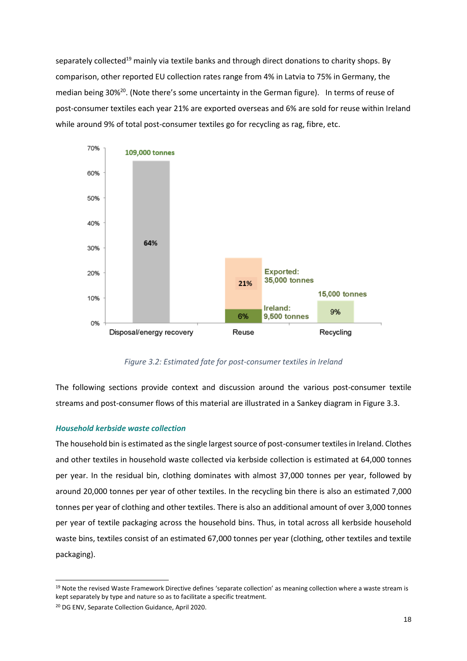separately collected<sup>19</sup> mainly via textile banks and through direct donations to charity shops. By comparison, other reported EU collection rates range from 4% in Latvia to 75% in Germany, the median being 30%<sup>20</sup>. (Note there's some uncertainty in the German figure). In terms of reuse of post-consumer textiles each year 21% are exported overseas and 6% are sold for reuse within Ireland while around 9% of total post-consumer textiles go for recycling as rag, fibre, etc.



*Figure 3.2: Estimated fate for post-consumer textiles in Ireland*

The following sections provide context and discussion around the various post-consumer textile streams and post-consumer flows of this material are illustrated in a Sankey diagram in Figure 3.3.

## *Household kerbside waste collection*

The household bin is estimated as the single largest source of post-consumer textiles in Ireland. Clothes and other textiles in household waste collected via kerbside collection is estimated at 64,000 tonnes per year. In the residual bin, clothing dominates with almost 37,000 tonnes per year, followed by around 20,000 tonnes per year of other textiles. In the recycling bin there is also an estimated 7,000 tonnes per year of clothing and other textiles. There is also an additional amount of over 3,000 tonnes per year of textile packaging across the household bins. Thus, in total across all kerbside household waste bins, textiles consist of an estimated 67,000 tonnes per year (clothing, other textiles and textile packaging).

<sup>&</sup>lt;sup>19</sup> Note the revised Waste Framework Directive defines 'separate collection' as meaning collection where a waste stream is kept separately by type and nature so as to facilitate a specific treatment.

<sup>20</sup> DG ENV, Separate Collection Guidance, April 2020.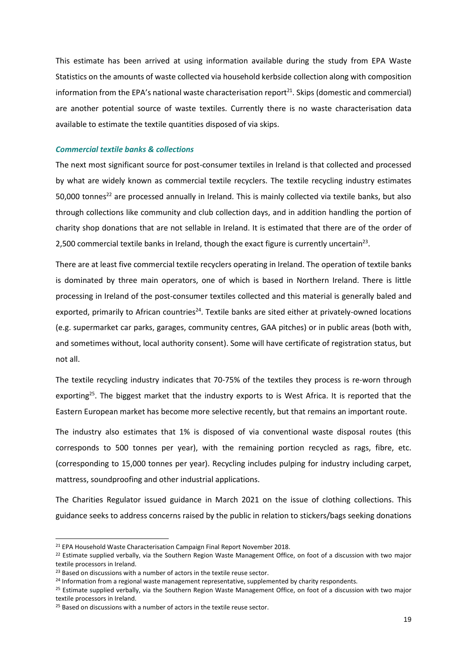This estimate has been arrived at using information available during the study from EPA Waste Statistics on the amounts of waste collected via household kerbside collection along with composition information from the EPA's national waste characterisation report $^{21}$ . Skips (domestic and commercial) are another potential source of waste textiles. Currently there is no waste characterisation data available to estimate the textile quantities disposed of via skips.

#### *Commercial textile banks & collections*

The next most significant source for post-consumer textiles in Ireland is that collected and processed by what are widely known as commercial textile recyclers. The textile recycling industry estimates 50,000 tonnes<sup>22</sup> are processed annually in Ireland. This is mainly collected via textile banks, but also through collections like community and club collection days, and in addition handling the portion of charity shop donations that are not sellable in Ireland. It is estimated that there are of the order of 2,500 commercial textile banks in Ireland, though the exact figure is currently uncertain<sup>23</sup>.

There are at least five commercial textile recyclers operating in Ireland. The operation of textile banks is dominated by three main operators, one of which is based in Northern Ireland. There is little processing in Ireland of the post-consumer textiles collected and this material is generally baled and exported, primarily to African countries<sup>24</sup>. Textile banks are sited either at privately-owned locations (e.g. supermarket car parks, garages, community centres, GAA pitches) or in public areas (both with, and sometimes without, local authority consent). Some will have certificate of registration status, but not all.

The textile recycling industry indicates that 70-75% of the textiles they process is re-worn through exporting<sup>25</sup>. The biggest market that the industry exports to is West Africa. It is reported that the Eastern European market has become more selective recently, but that remains an important route.

The industry also estimates that 1% is disposed of via conventional waste disposal routes (this corresponds to 500 tonnes per year), with the remaining portion recycled as rags, fibre, etc. (corresponding to 15,000 tonnes per year). Recycling includes pulping for industry including carpet, mattress, soundproofing and other industrial applications.

The Charities Regulator issued guidance in March 2021 on the issue of clothing collections. This guidance seeks to address concerns raised by the public in relation to stickers/bags seeking donations

<sup>&</sup>lt;sup>21</sup> EPA Household Waste Characterisation Campaign Final Report November 2018.

<sup>&</sup>lt;sup>22</sup> Estimate supplied verbally, via the Southern Region Waste Management Office, on foot of a discussion with two major textile processors in Ireland.

<sup>&</sup>lt;sup>23</sup> Based on discussions with a number of actors in the textile reuse sector.

<sup>&</sup>lt;sup>24</sup> Information from a regional waste management representative, supplemented by charity respondents.

 $25$  Estimate supplied verbally, via the Southern Region Waste Management Office, on foot of a discussion with two major textile processors in Ireland.

<sup>&</sup>lt;sup>25</sup> Based on discussions with a number of actors in the textile reuse sector.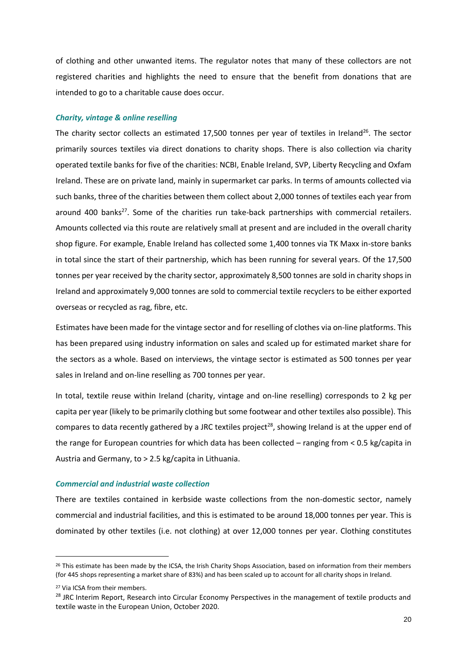of clothing and other unwanted items. The regulator notes that many of these collectors are not registered charities and highlights the need to ensure that the benefit from donations that are intended to go to a charitable cause does occur.

#### *Charity, vintage & online reselling*

The charity sector collects an estimated 17,500 tonnes per year of textiles in Ireland<sup>26</sup>. The sector primarily sources textiles via direct donations to charity shops. There is also collection via charity operated textile banks for five of the charities: NCBI, Enable Ireland, SVP, Liberty Recycling and Oxfam Ireland. These are on private land, mainly in supermarket car parks. In terms of amounts collected via such banks, three of the charities between them collect about 2,000 tonnes of textiles each year from around 400 banks $^{27}$ . Some of the charities run take-back partnerships with commercial retailers. Amounts collected via this route are relatively small at present and are included in the overall charity shop figure. For example, Enable Ireland has collected some 1,400 tonnes via TK Maxx in-store banks in total since the start of their partnership, which has been running for several years. Of the 17,500 tonnes per year received by the charity sector, approximately 8,500 tonnes are sold in charity shops in Ireland and approximately 9,000 tonnes are sold to commercial textile recyclers to be either exported overseas or recycled as rag, fibre, etc.

Estimates have been made for the vintage sector and for reselling of clothes via on-line platforms. This has been prepared using industry information on sales and scaled up for estimated market share for the sectors as a whole. Based on interviews, the vintage sector is estimated as 500 tonnes per year sales in Ireland and on-line reselling as 700 tonnes per year.

In total, textile reuse within Ireland (charity, vintage and on-line reselling) corresponds to 2 kg per capita per year (likely to be primarily clothing but some footwear and other textiles also possible). This compares to data recently gathered by a JRC textiles project<sup>28</sup>, showing Ireland is at the upper end of the range for European countries for which data has been collected – ranging from < 0.5 kg/capita in Austria and Germany, to > 2.5 kg/capita in Lithuania.

#### *Commercial and industrial waste collection*

There are textiles contained in kerbside waste collections from the non-domestic sector, namely commercial and industrial facilities, and this is estimated to be around 18,000 tonnes per year. This is dominated by other textiles (i.e. not clothing) at over 12,000 tonnes per year. Clothing constitutes

<sup>&</sup>lt;sup>26</sup> This estimate has been made by the ICSA, the Irish Charity Shops Association, based on information from their members (for 445 shops representing a market share of 83%) and has been scaled up to account for all charity shops in Ireland.

<sup>27</sup> Via ICSA from their members.

<sup>&</sup>lt;sup>28</sup> JRC Interim Report, Research into Circular Economy Perspectives in the management of textile products and textile waste in the European Union, October 2020.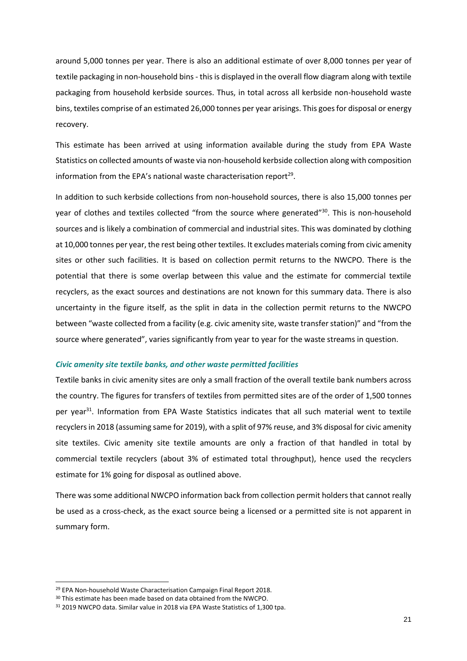around 5,000 tonnes per year. There is also an additional estimate of over 8,000 tonnes per year of textile packaging in non-household bins - this is displayed in the overall flow diagram along with textile packaging from household kerbside sources. Thus, in total across all kerbside non-household waste bins, textiles comprise of an estimated 26,000 tonnes per year arisings. This goes for disposal or energy recovery.

This estimate has been arrived at using information available during the study from EPA Waste Statistics on collected amounts of waste via non-household kerbside collection along with composition information from the EPA's national waste characterisation report<sup>29</sup>.

In addition to such kerbside collections from non-household sources, there is also 15,000 tonnes per year of clothes and textiles collected "from the source where generated"<sup>30</sup>. This is non-household sources and is likely a combination of commercial and industrial sites. This was dominated by clothing at 10,000 tonnes per year, the rest being other textiles. It excludes materials coming from civic amenity sites or other such facilities. It is based on collection permit returns to the NWCPO. There is the potential that there is some overlap between this value and the estimate for commercial textile recyclers, as the exact sources and destinations are not known for this summary data. There is also uncertainty in the figure itself, as the split in data in the collection permit returns to the NWCPO between "waste collected from a facility (e.g. civic amenity site, waste transfer station)" and "from the source where generated", varies significantly from year to year for the waste streams in question.

#### *Civic amenity site textile banks, and other waste permitted facilities*

Textile banks in civic amenity sites are only a small fraction of the overall textile bank numbers across the country. The figures for transfers of textiles from permitted sites are of the order of 1,500 tonnes per year<sup>31</sup>. Information from EPA Waste Statistics indicates that all such material went to textile recyclers in 2018 (assuming same for 2019), with a split of 97% reuse, and 3% disposal for civic amenity site textiles. Civic amenity site textile amounts are only a fraction of that handled in total by commercial textile recyclers (about 3% of estimated total throughput), hence used the recyclers estimate for 1% going for disposal as outlined above.

There was some additional NWCPO information back from collection permit holders that cannot really be used as a cross-check, as the exact source being a licensed or a permitted site is not apparent in summary form.

 $\overline{a}$ 

<sup>&</sup>lt;sup>29</sup> EPA Non-household Waste Characterisation Campaign Final Report 2018.

<sup>&</sup>lt;sup>30</sup> This estimate has been made based on data obtained from the NWCPO.

<sup>31</sup> 2019 NWCPO data. Similar value in 2018 via EPA Waste Statistics of 1,300 tpa.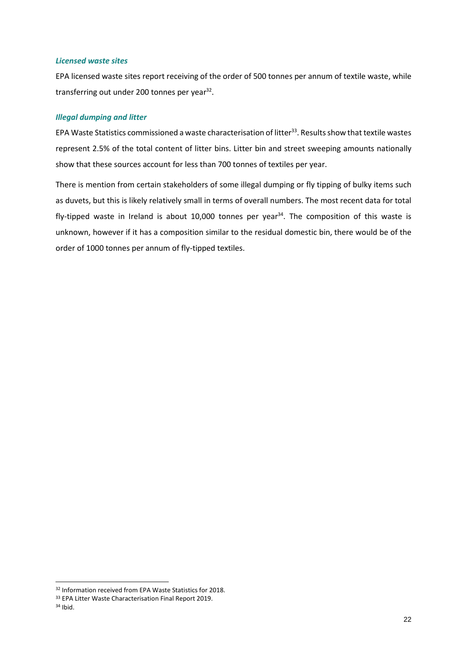#### *Licensed waste sites*

EPA licensed waste sites report receiving of the order of 500 tonnes per annum of textile waste, while transferring out under 200 tonnes per year<sup>32</sup>.

#### *Illegal dumping and litter*

EPA Waste Statistics commissioned a waste characterisation of litter<sup>33</sup>. Results show that textile wastes represent 2.5% of the total content of litter bins. Litter bin and street sweeping amounts nationally show that these sources account for less than 700 tonnes of textiles per year.

There is mention from certain stakeholders of some illegal dumping or fly tipping of bulky items such as duvets, but this is likely relatively small in terms of overall numbers. The most recent data for total fly-tipped waste in Ireland is about 10,000 tonnes per year<sup>34</sup>. The composition of this waste is unknown, however if it has a composition similar to the residual domestic bin, there would be of the order of 1000 tonnes per annum of fly-tipped textiles.

 $\overline{a}$ 

<sup>&</sup>lt;sup>32</sup> Information received from EPA Waste Statistics for 2018.

<sup>33</sup> EPA Litter Waste Characterisation Final Report 2019.

<sup>34</sup> Ibid.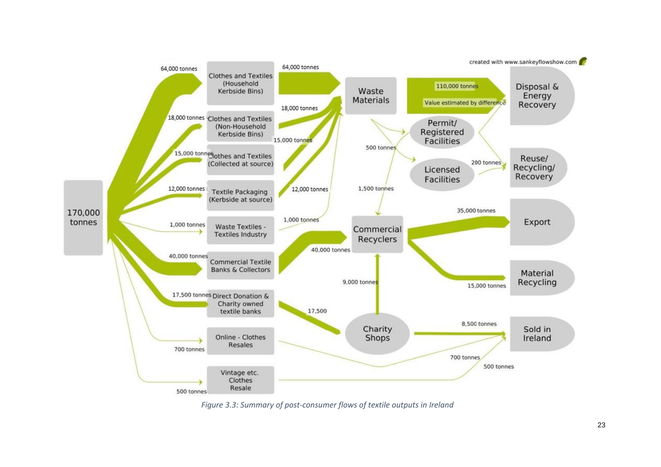

*Figure 3.3: Summary of post-consumer flows of textile outputs in Ireland*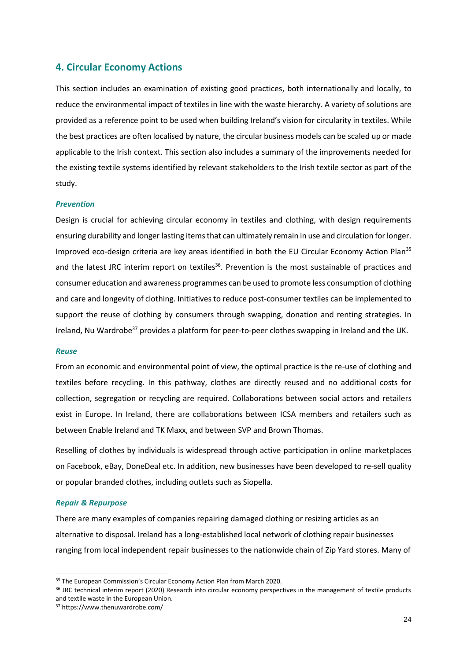# **4. Circular Economy Actions**

This section includes an examination of existing good practices, both internationally and locally, to reduce the environmental impact of textiles in line with the waste hierarchy. A variety of solutions are provided as a reference point to be used when building Ireland's vision for circularity in textiles. While the best practices are often localised by nature, the circular business models can be scaled up or made applicable to the Irish context. This section also includes a summary of the improvements needed for the existing textile systems identified by relevant stakeholders to the Irish textile sector as part of the study.

#### *Prevention*

Design is crucial for achieving circular economy in textiles and clothing, with design requirements ensuring durability and longer lasting items that can ultimately remain in use and circulation for longer. Improved eco-design criteria are key areas identified in both the EU Circular Economy Action Plan<sup>35</sup> and the latest JRC interim report on textiles<sup>36</sup>. Prevention is the most sustainable of practices and consumer education and awareness programmes can be used to promote less consumption of clothing and care and longevity of clothing. Initiatives to reduce post-consumer textiles can be implemented to support the reuse of clothing by consumers through swapping, donation and renting strategies. In Ireland, Nu Wardrobe<sup>37</sup> provides a platform for peer-to-peer clothes swapping in Ireland and the UK.

#### *Reuse*

From an economic and environmental point of view, the optimal practice is the re-use of clothing and textiles before recycling. In this pathway, clothes are directly reused and no additional costs for collection, segregation or recycling are required. Collaborations between social actors and retailers exist in Europe. In Ireland, there are collaborations between ICSA members and retailers such as between Enable Ireland and TK Maxx, and between SVP and Brown Thomas.

Reselling of clothes by individuals is widespread through active participation in online marketplaces on Facebook, eBay, DoneDeal etc. In addition, new businesses have been developed to re-sell quality or popular branded clothes, including outlets such as Siopella.

#### *Repair & Repurpose*

There are many examples of companies repairing damaged clothing or resizing articles as an alternative to disposal. Ireland has a long-established local network of clothing repair businesses ranging from local independent repair businesses to the nationwide chain of Zip Yard stores. Many of

<sup>&</sup>lt;sup>35</sup> The European Commission's Circular Economy Action Plan from March 2020.

<sup>&</sup>lt;sup>36</sup> JRC technical interim report (2020) Research into circular economy perspectives in the management of textile products and textile waste in the European Union.

<sup>37</sup> https://www.thenuwardrobe.com/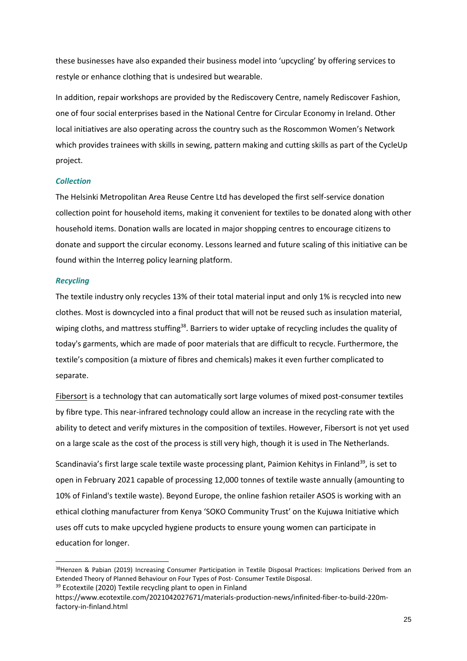these businesses have also expanded their business model into 'upcycling' by offering services to restyle or enhance clothing that is undesired but wearable.

In addition, repair workshops are provided by the Rediscovery Centre, namely Rediscover Fashion, one of four social enterprises based in the National Centre for Circular Economy in Ireland. Other local initiatives are also operating across the country such as the Roscommon Women's Network which provides trainees with skills in sewing, pattern making and cutting skills as part of the CycleUp project.

#### *Collection*

The Helsinki Metropolitan Area Reuse Centre Ltd has developed the first self-service donation collection point for household items, making it convenient for textiles to be donated along with other household items. Donation walls are located in major shopping centres to encourage citizens to donate and support the circular economy. Lessons learned and future scaling of this initiative can be found within the Interreg policy learning platform.

#### *Recycling*

The textile industry only recycles 13% of their total material input and only 1% is recycled into new clothes. Most is downcycled into a final product that will not be reused such as insulation material, wiping cloths, and mattress stuffing<sup>38</sup>. Barriers to wider uptake of recycling includes the quality of today's garments, which are made of poor materials that are difficult to recycle. Furthermore, the textile's composition (a mixture of fibres and chemicals) makes it even further complicated to separate.

Fibersort is a technology that can automatically sort large volumes of mixed post-consumer textiles by fibre type. This near-infrared technology could allow an increase in the recycling rate with the ability to detect and verify mixtures in the composition of textiles. However, Fibersort is not yet used on a large scale as the cost of the process is still very high, though it is used in The Netherlands.

Scandinavia's first large scale textile waste processing plant, Paimion Kehitys in Finland<sup>39</sup>, is set to open in February 2021 capable of processing 12,000 tonnes of textile waste annually (amounting to 10% of Finland's textile waste). Beyond Europe, the online fashion retailer ASOS is working with an ethical clothing manufacturer from Kenya 'SOKO Community Trust' on the Kujuwa Initiative which uses off cuts to make upcycled hygiene products to ensure young women can participate in education for longer.

<sup>38</sup>Henzen & Pabian (2019) Increasing Consumer Participation in Textile Disposal Practices: Implications Derived from an Extended Theory of Planned Behaviour on Four Types of Post- Consumer Textile Disposal.

<sup>&</sup>lt;sup>39</sup> Ecotextile (2020) Textile recycling plant to open in Finland

https://www.ecotextile.com/2021042027671/materials-production-news/infinited-fiber-to-build-220mfactory-in-finland.html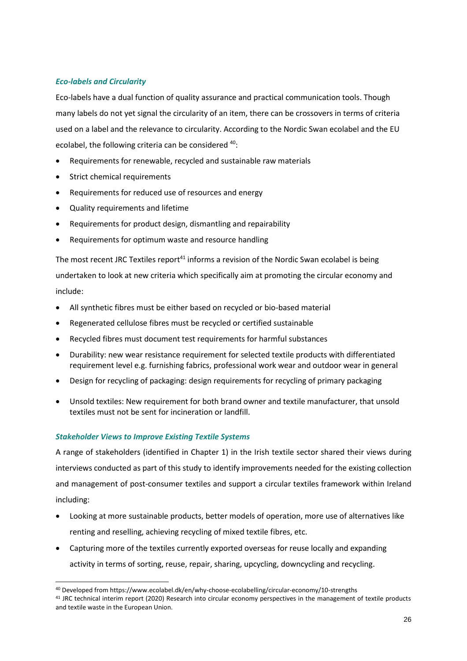# *Eco-labels and Circularity*

Eco-labels have a dual function of quality assurance and practical communication tools. Though many labels do not yet signal the circularity of an item, there can be crossovers in terms of criteria used on a label and the relevance to circularity. According to the Nordic Swan ecolabel and the EU ecolabel, the following criteria can be considered <sup>40</sup>:

- Requirements for renewable, recycled and sustainable raw materials
- Strict chemical requirements
- Requirements for reduced use of resources and energy
- Quality requirements and lifetime
- Requirements for product design, dismantling and repairability
- Requirements for optimum waste and resource handling

The most recent JRC Textiles report<sup>41</sup> informs a revision of the Nordic Swan ecolabel is being undertaken to look at new criteria which specifically aim at promoting the circular economy and include:

- All synthetic fibres must be either based on recycled or bio-based material
- Regenerated cellulose fibres must be recycled or certified sustainable
- Recycled fibres must document test requirements for harmful substances
- Durability: new wear resistance requirement for selected textile products with differentiated requirement level e.g. furnishing fabrics, professional work wear and outdoor wear in general
- Design for recycling of packaging: design requirements for recycling of primary packaging
- Unsold textiles: New requirement for both brand owner and textile manufacturer, that unsold textiles must not be sent for incineration or landfill.

# *Stakeholder Views to Improve Existing Textile Systems*

 $\overline{a}$ 

A range of stakeholders (identified in Chapter 1) in the Irish textile sector shared their views during interviews conducted as part of this study to identify improvements needed for the existing collection and management of post-consumer textiles and support a circular textiles framework within Ireland including:

- Looking at more sustainable products, better models of operation, more use of alternatives like renting and reselling, achieving recycling of mixed textile fibres, etc.
- Capturing more of the textiles currently exported overseas for reuse locally and expanding activity in terms of sorting, reuse, repair, sharing, upcycling, downcycling and recycling.

<sup>40</sup> Developed from https://www.ecolabel.dk/en/why-choose-ecolabelling/circular-economy/10-strengths

<sup>41</sup> JRC technical interim report (2020) Research into circular economy perspectives in the management of textile products and textile waste in the European Union.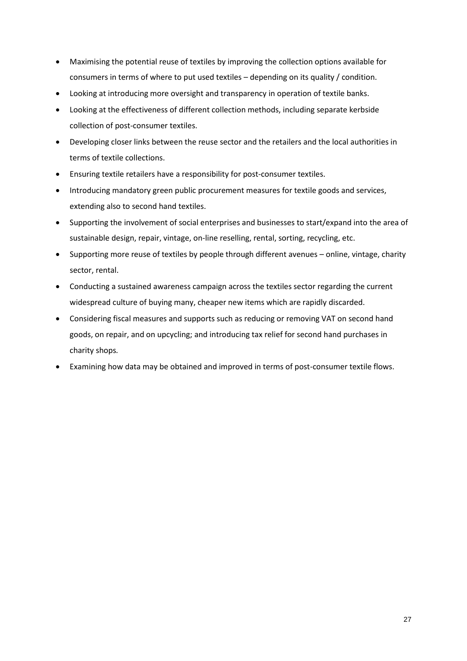- Maximising the potential reuse of textiles by improving the collection options available for consumers in terms of where to put used textiles – depending on its quality / condition.
- Looking at introducing more oversight and transparency in operation of textile banks.
- Looking at the effectiveness of different collection methods, including separate kerbside collection of post-consumer textiles.
- Developing closer links between the reuse sector and the retailers and the local authorities in terms of textile collections.
- Ensuring textile retailers have a responsibility for post-consumer textiles.
- Introducing mandatory green public procurement measures for textile goods and services, extending also to second hand textiles.
- Supporting the involvement of social enterprises and businesses to start/expand into the area of sustainable design, repair, vintage, on-line reselling, rental, sorting, recycling, etc.
- Supporting more reuse of textiles by people through different avenues online, vintage, charity sector, rental.
- Conducting a sustained awareness campaign across the textiles sector regarding the current widespread culture of buying many, cheaper new items which are rapidly discarded.
- Considering fiscal measures and supports such as reducing or removing VAT on second hand goods, on repair, and on upcycling; and introducing tax relief for second hand purchases in charity shops*.*
- Examining how data may be obtained and improved in terms of post-consumer textile flows.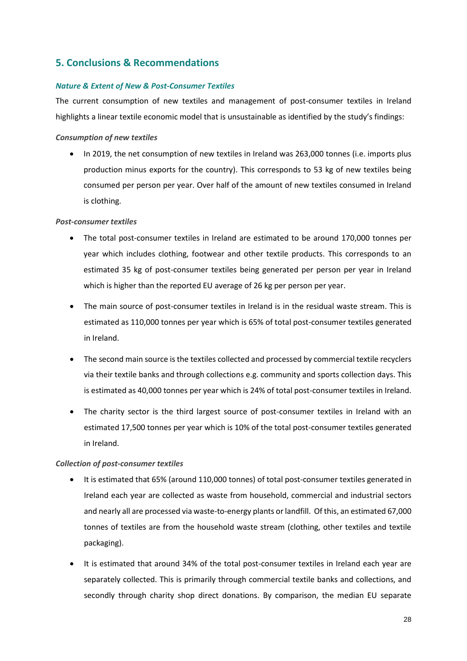# **5. Conclusions & Recommendations**

# *Nature & Extent of New & Post-Consumer Textiles*

The current consumption of new textiles and management of post-consumer textiles in Ireland highlights a linear textile economic model that is unsustainable as identified by the study's findings:

## *Consumption of new textiles*

• In 2019, the net consumption of new textiles in Ireland was 263,000 tonnes (i.e. imports plus production minus exports for the country). This corresponds to 53 kg of new textiles being consumed per person per year. Over half of the amount of new textiles consumed in Ireland is clothing.

# *Post-consumer textiles*

- The total post-consumer textiles in Ireland are estimated to be around 170,000 tonnes per year which includes clothing, footwear and other textile products. This corresponds to an estimated 35 kg of post-consumer textiles being generated per person per year in Ireland which is higher than the reported EU average of 26 kg per person per year.
- The main source of post-consumer textiles in Ireland is in the residual waste stream. This is estimated as 110,000 tonnes per year which is 65% of total post-consumer textiles generated in Ireland.
- The second main source is the textiles collected and processed by commercial textile recyclers via their textile banks and through collections e.g. community and sports collection days. This is estimated as 40,000 tonnes per year which is 24% of total post-consumer textiles in Ireland.
- The charity sector is the third largest source of post-consumer textiles in Ireland with an estimated 17,500 tonnes per year which is 10% of the total post-consumer textiles generated in Ireland.

# *Collection of post-consumer textiles*

- It is estimated that 65% (around 110,000 tonnes) of total post-consumer textiles generated in Ireland each year are collected as waste from household, commercial and industrial sectors and nearly all are processed via waste-to-energy plants or landfill. Of this, an estimated 67,000 tonnes of textiles are from the household waste stream (clothing, other textiles and textile packaging).
- It is estimated that around 34% of the total post-consumer textiles in Ireland each year are separately collected. This is primarily through commercial textile banks and collections, and secondly through charity shop direct donations. By comparison, the median EU separate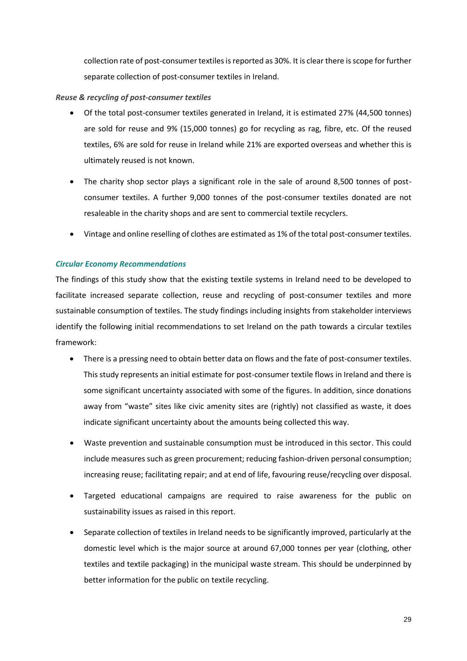collection rate of post-consumer textiles is reported as 30%. It is clear there is scope for further separate collection of post-consumer textiles in Ireland.

# *Reuse & recycling of post-consumer textiles*

- Of the total post-consumer textiles generated in Ireland, it is estimated 27% (44,500 tonnes) are sold for reuse and 9% (15,000 tonnes) go for recycling as rag, fibre, etc. Of the reused textiles, 6% are sold for reuse in Ireland while 21% are exported overseas and whether this is ultimately reused is not known.
- The charity shop sector plays a significant role in the sale of around 8,500 tonnes of postconsumer textiles. A further 9,000 tonnes of the post-consumer textiles donated are not resaleable in the charity shops and are sent to commercial textile recyclers.
- Vintage and online reselling of clothes are estimated as 1% of the total post-consumer textiles.

# *Circular Economy Recommendations*

The findings of this study show that the existing textile systems in Ireland need to be developed to facilitate increased separate collection, reuse and recycling of post-consumer textiles and more sustainable consumption of textiles. The study findings including insights from stakeholder interviews identify the following initial recommendations to set Ireland on the path towards a circular textiles framework:

- There is a pressing need to obtain better data on flows and the fate of post-consumer textiles. This study represents an initial estimate for post-consumer textile flows in Ireland and there is some significant uncertainty associated with some of the figures. In addition, since donations away from "waste" sites like civic amenity sites are (rightly) not classified as waste, it does indicate significant uncertainty about the amounts being collected this way.
- Waste prevention and sustainable consumption must be introduced in this sector. This could include measures such as green procurement; reducing fashion-driven personal consumption; increasing reuse; facilitating repair; and at end of life, favouring reuse/recycling over disposal.
- Targeted educational campaigns are required to raise awareness for the public on sustainability issues as raised in this report.
- Separate collection of textiles in Ireland needs to be significantly improved, particularly at the domestic level which is the major source at around 67,000 tonnes per year (clothing, other textiles and textile packaging) in the municipal waste stream. This should be underpinned by better information for the public on textile recycling.